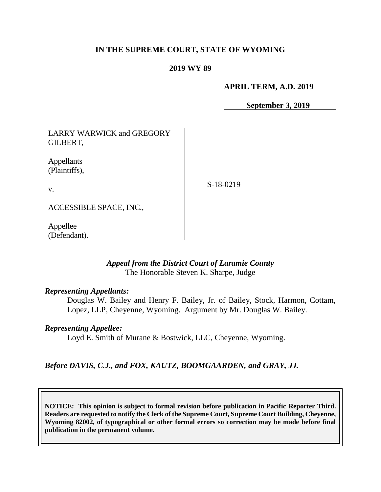### **IN THE SUPREME COURT, STATE OF WYOMING**

#### **2019 WY 89**

#### **APRIL TERM, A.D. 2019**

**September 3, 2019**

LARRY WARWICK and GREGORY GILBERT,

Appellants (Plaintiffs),

v.

S-18-0219

ACCESSIBLE SPACE, INC.,

Appellee (Defendant).

### *Appeal from the District Court of Laramie County* The Honorable Steven K. Sharpe, Judge

### *Representing Appellants:*

Douglas W. Bailey and Henry F. Bailey, Jr. of Bailey, Stock, Harmon, Cottam, Lopez, LLP, Cheyenne, Wyoming. Argument by Mr. Douglas W. Bailey.

#### *Representing Appellee:*

Loyd E. Smith of Murane & Bostwick, LLC, Cheyenne, Wyoming.

### *Before DAVIS, C.J., and FOX, KAUTZ, BOOMGAARDEN, and GRAY, JJ.*

**NOTICE: This opinion is subject to formal revision before publication in Pacific Reporter Third. Readers are requested to notify the Clerk of the Supreme Court, Supreme Court Building, Cheyenne, Wyoming 82002, of typographical or other formal errors so correction may be made before final publication in the permanent volume.**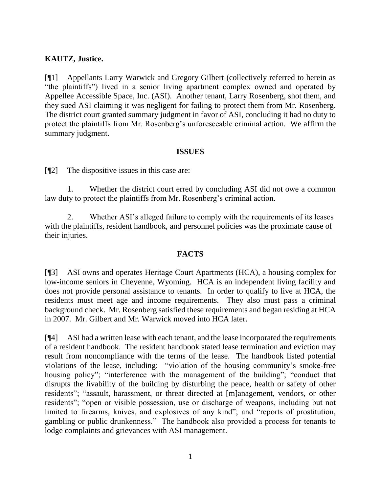## **KAUTZ, Justice.**

[¶1] Appellants Larry Warwick and Gregory Gilbert (collectively referred to herein as "the plaintiffs") lived in a senior living apartment complex owned and operated by Appellee Accessible Space, Inc. (ASI). Another tenant, Larry Rosenberg, shot them, and they sued ASI claiming it was negligent for failing to protect them from Mr. Rosenberg. The district court granted summary judgment in favor of ASI, concluding it had no duty to protect the plaintiffs from Mr. Rosenberg's unforeseeable criminal action. We affirm the summary judgment.

### **ISSUES**

[¶2] The dispositive issues in this case are:

1. Whether the district court erred by concluding ASI did not owe a common law duty to protect the plaintiffs from Mr. Rosenberg's criminal action.

2. Whether ASI's alleged failure to comply with the requirements of its leases with the plaintiffs, resident handbook, and personnel policies was the proximate cause of their injuries.

## **FACTS**

[¶3] ASI owns and operates Heritage Court Apartments (HCA), a housing complex for low-income seniors in Cheyenne, Wyoming. HCA is an independent living facility and does not provide personal assistance to tenants. In order to qualify to live at HCA, the residents must meet age and income requirements. They also must pass a criminal background check. Mr. Rosenberg satisfied these requirements and began residing at HCA in 2007. Mr. Gilbert and Mr. Warwick moved into HCA later.

[¶4] ASI had a written lease with each tenant, and the lease incorporated the requirements of a resident handbook. The resident handbook stated lease termination and eviction may result from noncompliance with the terms of the lease. The handbook listed potential violations of the lease, including: "violation of the housing community's smoke-free housing policy"; "interference with the management of the building"; "conduct that disrupts the livability of the building by disturbing the peace, health or safety of other residents"; "assault, harassment, or threat directed at [m]anagement, vendors, or other residents"; "open or visible possession, use or discharge of weapons, including but not limited to firearms, knives, and explosives of any kind"; and "reports of prostitution, gambling or public drunkenness." The handbook also provided a process for tenants to lodge complaints and grievances with ASI management.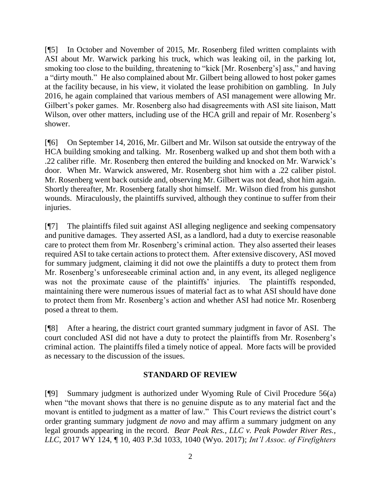[¶5] In October and November of 2015, Mr. Rosenberg filed written complaints with ASI about Mr. Warwick parking his truck, which was leaking oil, in the parking lot, smoking too close to the building, threatening to "kick [Mr. Rosenberg's] ass," and having a "dirty mouth." He also complained about Mr. Gilbert being allowed to host poker games at the facility because, in his view, it violated the lease prohibition on gambling. In July 2016, he again complained that various members of ASI management were allowing Mr. Gilbert's poker games. Mr. Rosenberg also had disagreements with ASI site liaison, Matt Wilson, over other matters, including use of the HCA grill and repair of Mr. Rosenberg's shower.

[¶6] On September 14, 2016, Mr. Gilbert and Mr. Wilson sat outside the entryway of the HCA building smoking and talking. Mr. Rosenberg walked up and shot them both with a .22 caliber rifle. Mr. Rosenberg then entered the building and knocked on Mr. Warwick's door. When Mr. Warwick answered, Mr. Rosenberg shot him with a .22 caliber pistol. Mr. Rosenberg went back outside and, observing Mr. Gilbert was not dead, shot him again. Shortly thereafter, Mr. Rosenberg fatally shot himself. Mr. Wilson died from his gunshot wounds. Miraculously, the plaintiffs survived, although they continue to suffer from their injuries.

[¶7] The plaintiffs filed suit against ASI alleging negligence and seeking compensatory and punitive damages. They asserted ASI, as a landlord, had a duty to exercise reasonable care to protect them from Mr. Rosenberg's criminal action. They also asserted their leases required ASI to take certain actions to protect them. After extensive discovery, ASI moved for summary judgment, claiming it did not owe the plaintiffs a duty to protect them from Mr. Rosenberg's unforeseeable criminal action and, in any event, its alleged negligence was not the proximate cause of the plaintiffs' injuries. The plaintiffs responded, maintaining there were numerous issues of material fact as to what ASI should have done to protect them from Mr. Rosenberg's action and whether ASI had notice Mr. Rosenberg posed a threat to them.

[¶8] After a hearing, the district court granted summary judgment in favor of ASI. The court concluded ASI did not have a duty to protect the plaintiffs from Mr. Rosenberg's criminal action. The plaintiffs filed a timely notice of appeal. More facts will be provided as necessary to the discussion of the issues.

## **STANDARD OF REVIEW**

[¶9] Summary judgment is authorized under Wyoming Rule of Civil Procedure 56(a) when "the movant shows that there is no genuine dispute as to any material fact and the movant is entitled to judgment as a matter of law." This Court reviews the district court's order granting summary judgment *de novo* and may affirm a summary judgment on any legal grounds appearing in the record. *Bear Peak Res., LLC v. Peak Powder River Res., LLC,* 2017 WY 124, ¶ 10, 403 P.3d 1033, 1040 (Wyo. 2017); *Int'l Assoc. of Firefighters*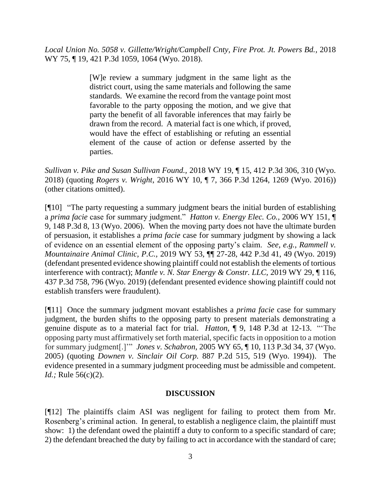*Local Union No. 5058 v. Gillette/Wright/Campbell Cnty, Fire Prot. Jt. Powers Bd.,* 2018 WY 75, ¶ 19, 421 P.3d 1059, 1064 (Wyo. 2018).

> [W]e review a summary judgment in the same light as the district court, using the same materials and following the same standards. We examine the record from the vantage point most favorable to the party opposing the motion, and we give that party the benefit of all favorable inferences that may fairly be drawn from the record. A material fact is one which, if proved, would have the effect of establishing or refuting an essential element of the cause of action or defense asserted by the parties.

*Sullivan v. Pike and Susan Sullivan Found.,* 2018 WY 19, ¶ 15, 412 P.3d 306, 310 (Wyo. 2018) (quoting *Rogers v. Wright*[, 2016 WY 10, ¶ 7, 366 P.3d 1264, 1269 \(Wyo. 2016\)\)](http://www.westlaw.com/Link/Document/FullText?findType=Y&serNum=2038150569&pubNum=0004645&originatingDoc=I4aa46c001c4911e885eba619ffcfa2b1&refType=RP&fi=co_pp_sp_4645_1269&originationContext=document&vr=3.0&rs=cblt1.0&transitionType=DocumentItem&contextData=(sc.Keycite)#co_pp_sp_4645_1269) (other citations omitted).

[¶10] "The party requesting a summary judgment bears the initial burden of establishing a *prima facie* case for summary judgment." *Hatton v. Energy Elec. Co.,* 2006 WY 151, ¶ 9, 148 P.3d 8, 13 (Wyo. 2006). When the moving party does not have the ultimate burden of persuasion, it establishes a *prima facie* case for summary judgment by showing a lack of evidence on an essential element of the opposing party's claim. *See, e.g., Rammell v. Mountainaire Animal Clinic, P.C.,* 2019 WY 53, ¶¶ 27-28, 442 P.3d 41, 49 (Wyo. 2019) (defendant presented evidence showing plaintiff could not establish the elements of tortious interference with contract); *Mantle v. N. Star Energy & Constr. LLC,* 2019 WY 29, ¶ 116, 437 P.3d 758, 796 (Wyo. 2019) (defendant presented evidence showing plaintiff could not establish transfers were fraudulent).

[¶11] Once the summary judgment movant establishes a *prima facie* case for summary judgment, the burden shifts to the opposing party to present materials demonstrating a genuine dispute as to a material fact for trial. *Hatton,* ¶ 9, 148 P.3d at 12-13. "'The opposing party must affirmatively set forth material, specific facts in opposition to a motion for summary judgment[.]'" *Jones v. Schabron,* [2005 WY 65, ¶ 10, 113 P.3d 34, 37 \(Wyo.](http://www.westlaw.com/Link/Document/FullText?findType=Y&serNum=2006759096&pubNum=0004645&originatingDoc=I60635c7d8c4811dba10be1078cee05f1&refType=RP&fi=co_pp_sp_4645_37&originationContext=document&vr=3.0&rs=cblt1.0&transitionType=DocumentItem&contextData=(sc.Search)#co_pp_sp_4645_37)  [2005\)](http://www.westlaw.com/Link/Document/FullText?findType=Y&serNum=2006759096&pubNum=0004645&originatingDoc=I60635c7d8c4811dba10be1078cee05f1&refType=RP&fi=co_pp_sp_4645_37&originationContext=document&vr=3.0&rs=cblt1.0&transitionType=DocumentItem&contextData=(sc.Search)#co_pp_sp_4645_37) (quoting *Downen v. Sinclair Oil Corp.* 887 P.2d 515, 519 (Wyo. 1994)). The evidence presented in a summary judgment proceeding must be admissible and competent. *Id.*; Rule 56(c)(2).

## **DISCUSSION**

[¶12] The plaintiffs claim ASI was negligent for failing to protect them from Mr. Rosenberg's criminal action. In general, to establish a negligence claim, the plaintiff must show: 1) the defendant owed the plaintiff a duty to conform to a specific standard of care; 2) the defendant breached the duty by failing to act in accordance with the standard of care;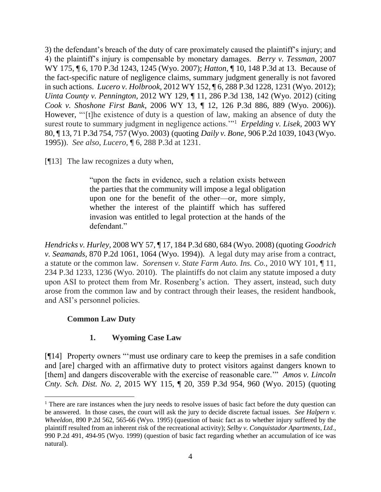3) the defendant's breach of the duty of care proximately caused the plaintiff's injury; and 4) the plaintiff's injury is compensable by monetary damages. *Berry v. Tessman,* 2007 WY 175, ¶ 6, 170 P.3d 1243, 1245 (Wyo. 2007); *Hatton,* ¶ 10, 148 P.3d at 13. Because of the fact-specific nature of negligence claims, summary judgment generally is not favored in such actions. *Lucero v. Holbrook,* 2012 WY 152, ¶ 6, 288 P.3d 1228, 1231 (Wyo. 2012); *Uinta County v. Pennington,* 2012 WY 129, ¶ 11, 286 P.3d 138, 142 (Wyo. 2012) (citing *Cook v. Shoshone First Bank,* 2006 WY 13, ¶ 12, 126 P.3d 886, 889 (Wyo. 2006)). However, "'[t]he existence of duty is a question of law, making an absence of duty the surest route to summary judgment in negligence actions.'"<sup>1</sup> *[Erpelding v. Lisek,](https://1.next.westlaw.com/Link/Document/FullText?findType=Y&serNum=2003459195&pubNum=0004645&originatingDoc=Id9af682f3b2b11e28a21ccb9036b2470&refType=RP&fi=co_pp_sp_4645_757&originationContext=document&transitionType=DocumentItem&contextData=(sc.Search)#co_pp_sp_4645_757)* 2003 WY [80, ¶ 13, 71 P.3d 754, 757 \(Wyo. 2003\)](https://1.next.westlaw.com/Link/Document/FullText?findType=Y&serNum=2003459195&pubNum=0004645&originatingDoc=Id9af682f3b2b11e28a21ccb9036b2470&refType=RP&fi=co_pp_sp_4645_757&originationContext=document&transitionType=DocumentItem&contextData=(sc.Search)#co_pp_sp_4645_757) (quoting *Daily v. Bone,* [906 P.2d 1039, 1043 \(Wyo.](https://1.next.westlaw.com/Link/Document/FullText?findType=Y&serNum=1995224422&pubNum=0000661&originatingDoc=Id9af682f3b2b11e28a21ccb9036b2470&refType=RP&fi=co_pp_sp_661_1043&originationContext=document&transitionType=DocumentItem&contextData=(sc.Search)#co_pp_sp_661_1043)  [1995\)\)](https://1.next.westlaw.com/Link/Document/FullText?findType=Y&serNum=1995224422&pubNum=0000661&originatingDoc=Id9af682f3b2b11e28a21ccb9036b2470&refType=RP&fi=co_pp_sp_661_1043&originationContext=document&transitionType=DocumentItem&contextData=(sc.Search)#co_pp_sp_661_1043). *See also*, *Lucero,* ¶ 6, 288 P.3d at 1231.

[¶13] The law recognizes a duty when,

"upon the facts in evidence, such a relation exists between the parties that the community will impose a legal obligation upon one for the benefit of the other—or, more simply, whether the interest of the plaintiff which has suffered invasion was entitled to legal protection at the hands of the defendant."

*Hendricks v. Hurley,* 2008 WY 57, ¶ 17, 184 P.3d 680, 684 (Wyo. 2008) (quoting *Goodrich v. Seamands,* 870 P.2d 1061, 1064 (Wyo. 1994)).A legal duty may arise from a contract, a statute or the common law. *Sorensen v. State Farm Auto. Ins. Co.,* 2010 WY 101, ¶ 11, 234 P.3d 1233, 1236 (Wyo. 2010). The plaintiffs do not claim any statute imposed a duty upon ASI to protect them from Mr. Rosenberg's action. They assert, instead, such duty arose from the common law and by contract through their leases, the resident handbook, and ASI's personnel policies.

# **Common Law Duty**

 $\overline{a}$ 

# **1. Wyoming Case Law**

[¶14] Property owners "'must use ordinary care to keep the premises in a safe condition and [are] charged with an affirmative duty to protect visitors against dangers known to [them] and dangers discoverable with the exercise of reasonable care.'" *Amos v. Lincoln Cnty. Sch. Dist. No. 2,* 2015 WY 115, ¶ 20, 359 P.3d 954, 960 (Wyo. 2015) (quoting

<sup>&</sup>lt;sup>1</sup> There are rare instances when the jury needs to resolve issues of basic fact before the duty question can be answered. In those cases, the court will ask the jury to decide discrete factual issues. *See Halpern v. Wheeldon,* 890 P.2d 562, 565-66 (Wyo. 1995) (question of basic fact as to whether injury suffered by the plaintiff resulted from an inherent risk of the recreational activity); *Selby v. Conquistador Apartments, Ltd.,*  990 P.2d 491, 494-95 (Wyo. 1999) (question of basic fact regarding whether an accumulation of ice was natural).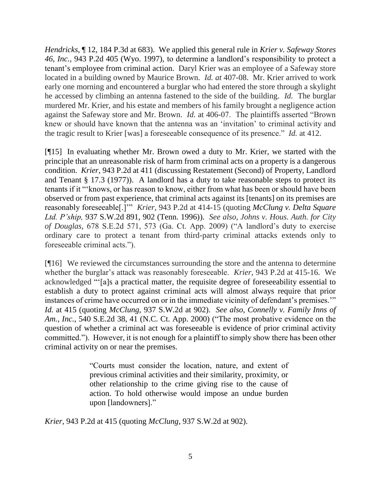*Hendricks*, ¶ 12, 184 P.3d at 683). We applied this general rule in *Krier v. Safeway Stores 46, Inc.,* 943 P.2d 405 (Wyo. 1997), to determine a landlord's responsibility to protect a tenant's employee from criminal action. Daryl Krier was an employee of a Safeway store located in a building owned by Maurice Brown. *Id. at* 407-08. Mr. Krier arrived to work early one morning and encountered a burglar who had entered the store through a skylight he accessed by climbing an antenna fastened to the side of the building. *Id.* The burglar murdered Mr. Krier, and his estate and members of his family brought a negligence action against the Safeway store and Mr. Brown. *Id.* at 406-07. The plaintiffs asserted "Brown knew or should have known that the antenna was an 'invitation' to criminal activity and the tragic result to Krier [was] a foreseeable consequence of its presence." *Id.* at 412.

[¶15] In evaluating whether Mr. Brown owed a duty to Mr. Krier, we started with the principle that an unreasonable risk of harm from criminal acts on a property is a dangerous condition. *Krier,* 943 P.2d at 411 (discussing Restatement (Second) of Property, Landlord and Tenant § 17.3 (1977)). A landlord has a duty to take reasonable steps to protect its tenants if it "'knows, or has reason to know, either from what has been or should have been observed or from past experience, that criminal acts against its [tenants] on its premises are reasonably foreseeable[.]'" *Krier,* 943 P.2d at 414-15 (quoting *[McClung v. Delta Square](http://www.westlaw.com/Link/Document/FullText?findType=Y&serNum=1996240902&pubNum=0000713&originatingDoc=I6e527eb1f57111d9b386b232635db992&refType=RP&fi=co_pp_sp_713_895&originationContext=document&vr=3.0&rs=cblt1.0&transitionType=DocumentItem&contextData=(sc.UserEnteredCitation)#co_pp_sp_713_895)  Ltd. P'ship,* [937 S.W.2d 891, 902 \(Tenn. 1996\)\)](http://www.westlaw.com/Link/Document/FullText?findType=Y&serNum=1996240902&pubNum=0000713&originatingDoc=I6e527eb1f57111d9b386b232635db992&refType=RP&fi=co_pp_sp_713_895&originationContext=document&vr=3.0&rs=cblt1.0&transitionType=DocumentItem&contextData=(sc.UserEnteredCitation)#co_pp_sp_713_895). *See also*, *Johns v. Hous. Auth. for City of Douglas,* 678 S.E.2d 571, 573 (Ga. Ct. App. 2009) ("A landlord's duty to exercise ordinary care to protect a tenant from third-party criminal attacks extends only to foreseeable criminal acts.").

[¶16] We reviewed the circumstances surrounding the store and the antenna to determine whether the burglar's attack was reasonably foreseeable. *Krier*, 943 P.2d at 415-16.We acknowledged "'[a]s a practical matter, the requisite degree of foreseeability essential to establish a duty to protect against criminal acts will almost always require that prior instances of crime have occurred on or in the immediate vicinity of defendant's premises.'" *Id.* at 415 (quoting *McClung,* 937 S.W.2d at 902). *See also*, *[Connelly v. Family Inns of](http://www.westlaw.com/Link/Document/FullText?findType=Y&serNum=2000657935&pubNum=0000711&originatingDoc=I8f1cd75551fb11e39ac8bab74931929c&refType=RP&fi=co_pp_sp_711_41&originationContext=document&vr=3.0&rs=cblt1.0&transitionType=DocumentItem&contextData=(sc.DocLink)#co_pp_sp_711_41)  Am., Inc.,* [540 S.E.2d 38, 41 \(N.C. Ct. App. 2000\)](http://www.westlaw.com/Link/Document/FullText?findType=Y&serNum=2000657935&pubNum=0000711&originatingDoc=I8f1cd75551fb11e39ac8bab74931929c&refType=RP&fi=co_pp_sp_711_41&originationContext=document&vr=3.0&rs=cblt1.0&transitionType=DocumentItem&contextData=(sc.DocLink)#co_pp_sp_711_41) ("The most probative evidence on the question of whether a criminal act was foreseeable is evidence of prior criminal activity committed."). However, it is not enough for a plaintiff to simply show there has been other criminal activity on or near the premises.

> "Courts must consider the location, nature, and extent of previous criminal activities and their similarity, proximity, or other relationship to the crime giving rise to the cause of action. To hold otherwise would impose an undue burden upon [landowners]."

*Krier,* 943 P.2d at 415 (quoting *McClung,* 937 S.W.2d at 902).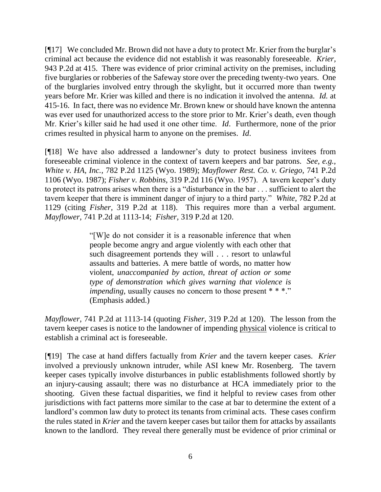[¶17] We concluded Mr. Brown did not have a duty to protect Mr. Krier from the burglar's criminal act because the evidence did not establish it was reasonably foreseeable*. Krier,*  943 P.2d at 415. There was evidence of prior criminal activity on the premises, including five burglaries or robberies of the Safeway store over the preceding twenty-two years. One of the burglaries involved entry through the skylight, but it occurred more than twenty years before Mr. Krier was killed and there is no indication it involved the antenna. *Id.* at 415-16. In fact, there was no evidence Mr. Brown knew or should have known the antenna was ever used for unauthorized access to the store prior to Mr. Krier's death, even though Mr. Krier's killer said he had used it one other time. *Id*. Furthermore, none of the prior crimes resulted in physical harm to anyone on the premises. *Id*.

[¶18] We have also addressed a landowner's duty to protect business invitees from foreseeable criminal violence in the context of tavern keepers and bar patrons. *See, e.g., White v. HA, Inc.,* 782 P.2d 1125 (Wyo. 1989); *Mayflower Rest. Co. v. Griego,* 741 P.2d 1106 (Wyo. 1987); *Fisher v. Robbins,* 319 P.2d 116 (Wyo. 1957). A tavern keeper's duty to protect its patrons arises when there is a "disturbance in the bar . . . sufficient to alert the tavern keeper that there is imminent danger of injury to a third party." *White,* 782 P.2d at 1129 (citing *Fisher,* 319 P.2d at 118). This requires more than a verbal argument. *Mayflower,* 741 P.2d at 1113-14; *Fisher,* 319 P.2d at 120.

> "[W]e do not consider it is a reasonable inference that when people become angry and argue violently with each other that such disagreement portends they will . . . resort to unlawful assaults and batteries. A mere battle of words, no matter how violent, *unaccompanied by action, threat of action or some type of demonstration which gives warning that violence is impending*, usually causes no concern to those present \* \* \*." (Emphasis added.)

*Mayflower,* 741 P.2d at 1113-14 (quoting *Fisher,* 319 P.2d at 120). The lesson from the tavern keeper cases is notice to the landowner of impending physical violence is critical to establish a criminal act is foreseeable.

[¶19] The case at hand differs factually from *Krier* and the tavern keeper cases. *Krier*  involved a previously unknown intruder, while ASI knew Mr. Rosenberg. The tavern keeper cases typically involve disturbances in public establishments followed shortly by an injury-causing assault; there was no disturbance at HCA immediately prior to the shooting. Given these factual disparities, we find it helpful to review cases from other jurisdictions with fact patterns more similar to the case at bar to determine the extent of a landlord's common law duty to protect its tenants from criminal acts. These cases confirm the rules stated in *Krier* and the tavern keeper cases but tailor them for attacks by assailants known to the landlord. They reveal there generally must be evidence of prior criminal or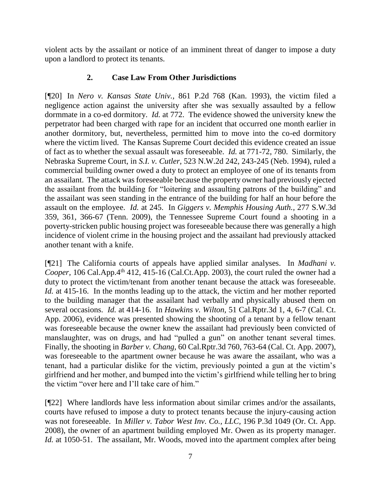violent acts by the assailant or notice of an imminent threat of danger to impose a duty upon a landlord to protect its tenants.

## **2. Case Law From Other Jurisdictions**

[¶20] In *Nero v. Kansas State Univ.,* 861 P.2d 768 (Kan. 1993), the victim filed a negligence action against the university after she was sexually assaulted by a fellow dormmate in a co-ed dormitory. *Id.* at 772. The evidence showed the university knew the perpetrator had been charged with rape for an incident that occurred one month earlier in another dormitory, but, nevertheless, permitted him to move into the co-ed dormitory where the victim lived. The Kansas Supreme Court decided this evidence created an issue of fact as to whether the sexual assault was foreseeable. *Id.* at 771-72, 780. Similarly, the Nebraska Supreme Court, in *S.I. v. Cutler,* 523 N.W.2d 242, 243-245 (Neb. 1994), ruled a commercial building owner owed a duty to protect an employee of one of its tenants from an assailant. The attack was foreseeable because the property owner had previously ejected the assailant from the building for "loitering and assaulting patrons of the building" and the assailant was seen standing in the entrance of the building for half an hour before the assault on the employee. *Id.* at 245.In *Giggers v. Memphis Housing Auth.,* 277 S.W.3d 359, 361, 366-67 (Tenn. 2009), the Tennessee Supreme Court found a shooting in a poverty-stricken public housing project was foreseeable because there was generally a high incidence of violent crime in the housing project and the assailant had previously attacked another tenant with a knife.

[¶21] The California courts of appeals have applied similar analyses. In *Madhani v. Cooper, 106 Cal.App.4<sup>th</sup> 412, 415-16 (Cal.Ct.App. 2003), the court ruled the owner had a* duty to protect the victim/tenant from another tenant because the attack was foreseeable. *Id.* at 415-16. In the months leading up to the attack, the victim and her mother reported to the building manager that the assailant had verbally and physically abused them on several occasions. *Id.* at 414-16. In *Hawkins v. Wilton,* 51 Cal.Rptr.3d 1, 4, 6-7 (Cal. Ct. App. 2006), evidence was presented showing the shooting of a tenant by a fellow tenant was foreseeable because the owner knew the assailant had previously been convicted of manslaughter, was on drugs, and had "pulled a gun" on another tenant several times. Finally, the shooting in *Barber v. Chang,* 60 Cal.Rptr.3d 760, 763-64 (Cal. Ct. App. 2007), was foreseeable to the apartment owner because he was aware the assailant, who was a tenant, had a particular dislike for the victim, previously pointed a gun at the victim's girlfriend and her mother, and bumped into the victim's girlfriend while telling her to bring the victim "over here and I'll take care of him."

[¶22] Where landlords have less information about similar crimes and/or the assailants, courts have refused to impose a duty to protect tenants because the injury-causing action was not foreseeable. In *Miller v. Tabor West Inv. Co., LLC,* 196 P.3d 1049 (Or. Ct. App. 2008), the owner of an apartment building employed Mr. Owen as its property manager. *Id.* at 1050-51. The assailant, Mr. Woods, moved into the apartment complex after being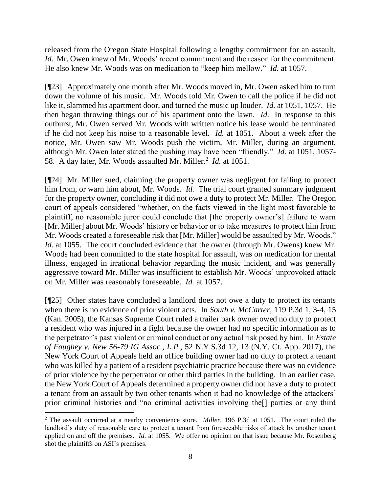released from the Oregon State Hospital following a lengthy commitment for an assault. *Id.* Mr. Owen knew of Mr. Woods' recent commitment and the reason for the commitment. He also knew Mr. Woods was on medication to "keep him mellow." *Id.* at 1057.

[¶23] Approximately one month after Mr. Woods moved in, Mr. Owen asked him to turn down the volume of his music. Mr. Woods told Mr. Owen to call the police if he did not like it, slammed his apartment door, and turned the music up louder. *Id.* at 1051, 1057. He then began throwing things out of his apartment onto the lawn. *Id.* In response to this outburst, Mr. Owen served Mr. Woods with written notice his lease would be terminated if he did not keep his noise to a reasonable level. *Id.* at 1051. About a week after the notice, Mr. Owen saw Mr. Woods push the victim, Mr. Miller, during an argument, although Mr. Owen later stated the pushing may have been "friendly." *Id.* at 1051, 1057- 58. A day later, Mr. Woods assaulted Mr. Miller.<sup>2</sup> *Id.* at 1051.

[¶24] Mr. Miller sued, claiming the property owner was negligent for failing to protect him from, or warn him about, Mr. Woods. *Id.* The trial court granted summary judgment for the property owner, concluding it did not owe a duty to protect Mr. Miller. The Oregon court of appeals considered "whether, on the facts viewed in the light most favorable to plaintiff, no reasonable juror could conclude that [the property owner's] failure to warn [Mr. Miller] about Mr. Woods' history or behavior or to take measures to protect him from Mr. Woods created a foreseeable risk that [Mr. Miller] would be assaulted by Mr. Woods." *Id.* at 1055. The court concluded evidence that the owner (through Mr. Owens) knew Mr. Woods had been committed to the state hospital for assault, was on medication for mental illness, engaged in irrational behavior regarding the music incident, and was generally aggressive toward Mr. Miller was insufficient to establish Mr. Woods' unprovoked attack on Mr. Miller was reasonably foreseeable. *Id.* at 1057.

[¶25] Other states have concluded a landlord does not owe a duty to protect its tenants when there is no evidence of prior violent acts. In *South v. McCarter,* 119 P.3d 1, 3-4, 15 (Kan. 2005), the Kansas Supreme Court ruled a trailer park owner owed no duty to protect a resident who was injured in a fight because the owner had no specific information as to the perpetrator's past violent or criminal conduct or any actual risk posed by him. In *Estate of Faughey v. New 56-79 IG Assoc., L.P.,* 52 N.Y.S.3d 12, 13 (N.Y. Ct. App. 2017), the New York Court of Appeals held an office building owner had no duty to protect a tenant who was killed by a patient of a resident psychiatric practice because there was no evidence of prior violence by the perpetrator or other third parties in the building. In an earlier case, the New York Court of Appeals determined a property owner did not have a duty to protect a tenant from an assault by two other tenants when it had no knowledge of the attackers' prior criminal histories and "no criminal activities involving the[] parties or any third

<sup>2</sup> The assault occurred at a nearby convenience store. *Miller*, 196 P.3d at 1051. The court ruled the landlord's duty of reasonable care to protect a tenant from foreseeable risks of attack by another tenant applied on and off the premises. *Id.* at 1055. We offer no opinion on that issue because Mr. Rosenberg shot the plaintiffs on ASI's premises.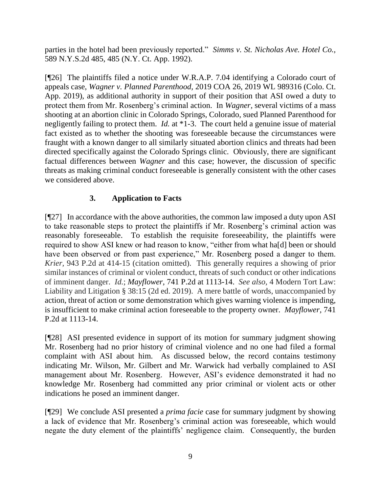parties in the hotel had been previously reported." *Simms v. St. Nicholas Ave. Hotel Co.,*  589 N.Y.S.2d 485, 485 (N.Y. Ct. App. 1992).

[¶26] The plaintiffs filed a notice under W.R.A.P. 7.04 identifying a Colorado court of appeals case, *Wagner v. Planned Parenthood,* 2019 COA 26, 2019 WL 989316 (Colo. Ct. App. 2019), as additional authority in support of their position that ASI owed a duty to protect them from Mr. Rosenberg's criminal action. In *Wagner,* several victims of a mass shooting at an abortion clinic in Colorado Springs, Colorado, sued Planned Parenthood for negligently failing to protect them. *Id.* at \*1-3. The court held a genuine issue of material fact existed as to whether the shooting was foreseeable because the circumstances were fraught with a known danger to all similarly situated abortion clinics and threats had been directed specifically against the Colorado Springs clinic. Obviously, there are significant factual differences between *Wagner* and this case; however, the discussion of specific threats as making criminal conduct foreseeable is generally consistent with the other cases we considered above.

# **3. Application to Facts**

[¶27] In accordance with the above authorities, the common law imposed a duty upon ASI to take reasonable steps to protect the plaintiffs if Mr. Rosenberg's criminal action was reasonably foreseeable. To establish the requisite foreseeability, the plaintiffs were required to show ASI knew or had reason to know, "either from what ha[d] been or should have been observed or from past experience," Mr. Rosenberg posed a danger to them. *Krier,* 943 P.2d at 414-15 (citation omitted). This generally requires a showing of prior similar instances of criminal or violent conduct, threats of such conduct or other indications of imminent danger. *Id.*; *Mayflower,* 741 P.2d at 1113-14. *See also,* 4 Modern Tort Law: Liability and Litigation § 38:15 (2d ed. 2019). A mere battle of words, unaccompanied by action, threat of action or some demonstration which gives warning violence is impending, is insufficient to make criminal action foreseeable to the property owner. *Mayflower,* 741 P.2d at 1113-14.

[¶28] ASI presented evidence in support of its motion for summary judgment showing Mr. Rosenberg had no prior history of criminal violence and no one had filed a formal complaint with ASI about him. As discussed below, the record contains testimony indicating Mr. Wilson, Mr. Gilbert and Mr. Warwick had verbally complained to ASI management about Mr. Rosenberg. However, ASI's evidence demonstrated it had no knowledge Mr. Rosenberg had committed any prior criminal or violent acts or other indications he posed an imminent danger.

[¶29] We conclude ASI presented a *prima facie* case for summary judgment by showing a lack of evidence that Mr. Rosenberg's criminal action was foreseeable, which would negate the duty element of the plaintiffs' negligence claim. Consequently, the burden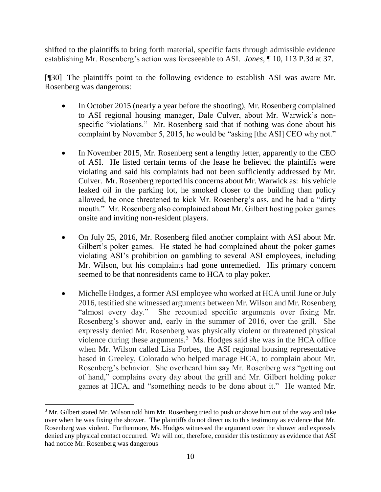shifted to the plaintiffs to bring forth material, specific facts through admissible evidence establishing Mr. Rosenberg's action was foreseeable to ASI. *Jones*, ¶ 10, 113 P.3d at 37.

[¶30] The plaintiffs point to the following evidence to establish ASI was aware Mr. Rosenberg was dangerous:

- In October 2015 (nearly a year before the shooting), Mr. Rosenberg complained to ASI regional housing manager, Dale Culver, about Mr. Warwick's nonspecific "violations." Mr. Rosenberg said that if nothing was done about his complaint by November 5, 2015, he would be "asking [the ASI] CEO why not."
- In November 2015, Mr. Rosenberg sent a lengthy letter, apparently to the CEO of ASI. He listed certain terms of the lease he believed the plaintiffs were violating and said his complaints had not been sufficiently addressed by Mr. Culver. Mr. Rosenberg reported his concerns about Mr. Warwick as: his vehicle leaked oil in the parking lot, he smoked closer to the building than policy allowed, he once threatened to kick Mr. Rosenberg's ass, and he had a "dirty mouth." Mr. Rosenberg also complained about Mr. Gilbert hosting poker games onsite and inviting non-resident players.
- On July 25, 2016, Mr. Rosenberg filed another complaint with ASI about Mr. Gilbert's poker games. He stated he had complained about the poker games violating ASI's prohibition on gambling to several ASI employees, including Mr. Wilson, but his complaints had gone unremedied. His primary concern seemed to be that nonresidents came to HCA to play poker.
- Michelle Hodges, a former ASI employee who worked at HCA until June or July 2016, testified she witnessed arguments between Mr. Wilson and Mr. Rosenberg "almost every day." She recounted specific arguments over fixing Mr. Rosenberg's shower and, early in the summer of 2016, over the grill. She expressly denied Mr. Rosenberg was physically violent or threatened physical violence during these arguments.<sup>3</sup> Ms. Hodges said she was in the HCA office when Mr. Wilson called Lisa Forbes, the ASI regional housing representative based in Greeley, Colorado who helped manage HCA, to complain about Mr. Rosenberg's behavior. She overheard him say Mr. Rosenberg was "getting out of hand," complains every day about the grill and Mr. Gilbert holding poker games at HCA, and "something needs to be done about it." He wanted Mr.

 <sup>3</sup> Mr. Gilbert stated Mr. Wilson told him Mr. Rosenberg tried to push or shove him out of the way and take over when he was fixing the shower. The plaintiffs do not direct us to this testimony as evidence that Mr. Rosenberg was violent. Furthermore, Ms. Hodges witnessed the argument over the shower and expressly denied any physical contact occurred. We will not, therefore, consider this testimony as evidence that ASI had notice Mr. Rosenberg was dangerous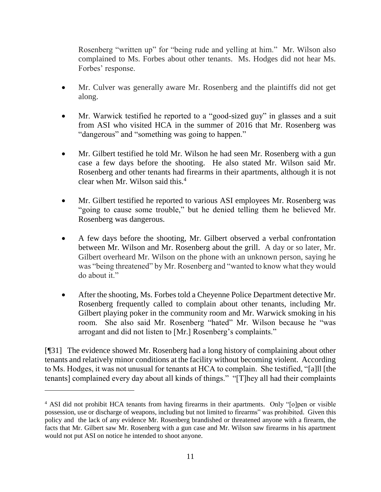Rosenberg "written up" for "being rude and yelling at him." Mr. Wilson also complained to Ms. Forbes about other tenants. Ms. Hodges did not hear Ms. Forbes' response.

- Mr. Culver was generally aware Mr. Rosenberg and the plaintiffs did not get along.
- Mr. Warwick testified he reported to a "good-sized guy" in glasses and a suit from ASI who visited HCA in the summer of 2016 that Mr. Rosenberg was "dangerous" and "something was going to happen."
- Mr. Gilbert testified he told Mr. Wilson he had seen Mr. Rosenberg with a gun case a few days before the shooting. He also stated Mr. Wilson said Mr. Rosenberg and other tenants had firearms in their apartments, although it is not clear when Mr. Wilson said this.<sup>4</sup>
- Mr. Gilbert testified he reported to various ASI employees Mr. Rosenberg was "going to cause some trouble," but he denied telling them he believed Mr. Rosenberg was dangerous.
- A few days before the shooting, Mr. Gilbert observed a verbal confrontation between Mr. Wilson and Mr. Rosenberg about the grill. A day or so later, Mr. Gilbert overheard Mr. Wilson on the phone with an unknown person, saying he was "being threatened" by Mr. Rosenberg and "wanted to know what they would do about it."
- After the shooting, Ms. Forbes told a Cheyenne Police Department detective Mr. Rosenberg frequently called to complain about other tenants, including Mr. Gilbert playing poker in the community room and Mr. Warwick smoking in his room. She also said Mr. Rosenberg "hated" Mr. Wilson because he "was arrogant and did not listen to [Mr.] Rosenberg's complaints."

[¶31] The evidence showed Mr. Rosenberg had a long history of complaining about other tenants and relatively minor conditions at the facility without becoming violent. According to Ms. Hodges, it was not unusual for tenants at HCA to complain. She testified, "[a]ll [the tenants] complained every day about all kinds of things." "[T]hey all had their complaints

<sup>4</sup> ASI did not prohibit HCA tenants from having firearms in their apartments. Only "[o]pen or visible possession, use or discharge of weapons, including but not limited to firearms" was prohibited. Given this policy and the lack of any evidence Mr. Rosenberg brandished or threatened anyone with a firearm, the facts that Mr. Gilbert saw Mr. Rosenberg with a gun case and Mr. Wilson saw firearms in his apartment would not put ASI on notice he intended to shoot anyone.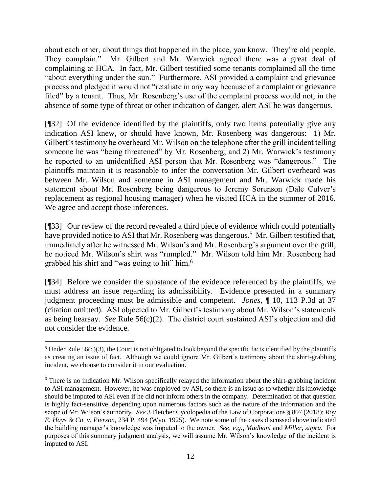about each other, about things that happened in the place, you know. They're old people. They complain." Mr. Gilbert and Mr. Warwick agreed there was a great deal of complaining at HCA. In fact, Mr. Gilbert testified some tenants complained all the time "about everything under the sun." Furthermore, ASI provided a complaint and grievance process and pledged it would not "retaliate in any way because of a complaint or grievance filed" by a tenant. Thus, Mr. Rosenberg's use of the complaint process would not, in the absence of some type of threat or other indication of danger, alert ASI he was dangerous.

[¶32] Of the evidence identified by the plaintiffs, only two items potentially give any indication ASI knew, or should have known, Mr. Rosenberg was dangerous: 1) Mr. Gilbert's testimony he overheard Mr. Wilson on the telephone after the grill incident telling someone he was "being threatened" by Mr. Rosenberg; and 2) Mr. Warwick's testimony he reported to an unidentified ASI person that Mr. Rosenberg was "dangerous." The plaintiffs maintain it is reasonable to infer the conversation Mr. Gilbert overheard was between Mr. Wilson and someone in ASI management and Mr. Warwick made his statement about Mr. Rosenberg being dangerous to Jeremy Sorenson (Dale Culver's replacement as regional housing manager) when he visited HCA in the summer of 2016. We agree and accept those inferences.

[¶33] Our review of the record revealed a third piece of evidence which could potentially have provided notice to ASI that Mr. Rosenberg was dangerous.<sup>5</sup> Mr. Gilbert testified that, immediately after he witnessed Mr. Wilson's and Mr. Rosenberg's argument over the grill, he noticed Mr. Wilson's shirt was "rumpled." Mr. Wilson told him Mr. Rosenberg had grabbed his shirt and "was going to hit" him.<sup>6</sup>

[¶34] Before we consider the substance of the evidence referenced by the plaintiffs, we must address an issue regarding its admissibility. Evidence presented in a summary judgment proceeding must be admissible and competent. *Jones,* [¶ 10, 113 P.3d at 37](http://www.westlaw.com/Link/Document/FullText?findType=Y&serNum=2006759096&pubNum=0004645&originatingDoc=I60635c7d8c4811dba10be1078cee05f1&refType=RP&fi=co_pp_sp_4645_37&originationContext=document&vr=3.0&rs=cblt1.0&transitionType=DocumentItem&contextData=(sc.Search)#co_pp_sp_4645_37)  (citation omitted). ASI objected to Mr. Gilbert's testimony about Mr. Wilson's statements as being hearsay. *See* Rule 56(c)(2). The district court sustained ASI's objection and did not consider the evidence.

l <sup>5</sup> Under Rule 56(c)(3), the Court is not obligated to look beyond the specific facts identified by the plaintiffs as creating an issue of fact. Although we could ignore Mr. Gilbert's testimony about the shirt-grabbing incident, we choose to consider it in our evaluation.

<sup>6</sup> There is no indication Mr. Wilson specifically relayed the information about the shirt-grabbing incident to ASI management. However, he was employed by ASI, so there is an issue as to whether his knowledge should be imputed to ASI even if he did not inform others in the company. Determination of that question is highly fact-sensitive, depending upon numerous factors such as the nature of the information and the scope of Mr. Wilson's authority. *See* 3 Fletcher Cycolopedia of the Law of Corporations § 807 (2018); *Roy E. Hays & Co. v. Pierson,* 234 P. 494 (Wyo. 1925). We note some of the cases discussed above indicated the building manager's knowledge was imputed to the owner. *See, e.g.*, *Madhani* and *Miller, supra.* For purposes of this summary judgment analysis, we will assume Mr. Wilson's knowledge of the incident is imputed to ASI.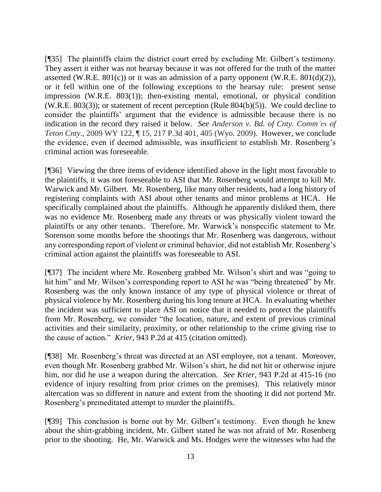[¶35] The plaintiffs claim the district court erred by excluding Mr. Gilbert's testimony. They assert it either was not hearsay because it was not offered for the truth of the matter asserted (W.R.E. 801 $(c)$ ) or it was an admission of a party opponent (W.R.E. 801 $(d)(2)$ ), or it fell within one of the following exceptions to the hearsay rule: present sense impression (W.R.E. 803(1)); then-existing mental, emotional, or physical condition (W.R.E. 803(3)); or statement of recent perception (Rule  $804(b)(5)$ ). We could decline to consider the plaintiffs' argument that the evidence is admissible because there is no indication in the record they raised it below. *See Anderson v. Bd. of Cnty. Comm'rs of Teton Cnty.,* 2009 WY 122, ¶ 15, 217 P.3d 401, 405 (Wyo. 2009). However, we conclude the evidence, even if deemed admissible, was insufficient to establish Mr. Rosenberg's criminal action was foreseeable.

[¶36] Viewing the three items of evidence identified above in the light most favorable to the plaintiffs, it was not foreseeable to ASI that Mr. Rosenberg would attempt to kill Mr. Warwick and Mr. Gilbert. Mr. Rosenberg, like many other residents, had a long history of registering complaints with ASI about other tenants and minor problems at HCA. He specifically complained about the plaintiffs. Although he apparently disliked them, there was no evidence Mr. Rosenberg made any threats or was physically violent toward the plaintiffs or any other tenants. Therefore, Mr. Warwick's nonspecific statement to Mr. Sorenson some months before the shootings that Mr. Rosenberg was dangerous, without any corresponding report of violent or criminal behavior, did not establish Mr. Rosenberg's criminal action against the plaintiffs was foreseeable to ASI.

[¶37] The incident where Mr. Rosenberg grabbed Mr. Wilson's shirt and was "going to hit him" and Mr. Wilson's corresponding report to ASI he was "being threatened" by Mr. Rosenberg was the only known instance of any type of physical violence or threat of physical violence by Mr. Rosenberg during his long tenure at HCA. In evaluating whether the incident was sufficient to place ASI on notice that it needed to protect the plaintiffs from Mr. Rosenberg, we consider "the location, nature, and extent of previous criminal activities and their similarity, proximity, or other relationship to the crime giving rise to the cause of action." *Krier,* 943 P.2d at 415 (citation omitted).

[¶38] Mr. Rosenberg's threat was directed at an ASI employee, not a tenant. Moreover, even though Mr. Rosenberg grabbed Mr. Wilson's shirt, he did not hit or otherwise injure him, nor did he use a weapon during the altercation. *See Krier,* 943 P.2d at 415-16 (no evidence of injury resulting from prior crimes on the premises). This relatively minor altercation was so different in nature and extent from the shooting it did not portend Mr. Rosenberg's premeditated attempt to murder the plaintiffs.

[¶39] This conclusion is borne out by Mr. Gilbert's testimony. Even though he knew about the shirt-grabbing incident, Mr. Gilbert stated he was not afraid of Mr. Rosenberg prior to the shooting. He, Mr. Warwick and Ms. Hodges were the witnesses who had the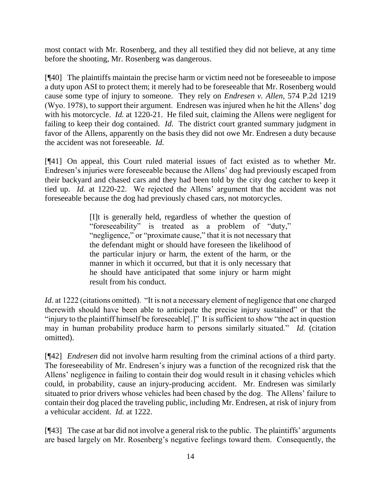most contact with Mr. Rosenberg, and they all testified they did not believe, at any time before the shooting, Mr. Rosenberg was dangerous.

[¶40] The plaintiffs maintain the precise harm or victim need not be foreseeable to impose a duty upon ASI to protect them; it merely had to be foreseeable that Mr. Rosenberg would cause some type of injury to someone. They rely on *Endresen v. Allen,* 574 P.2d 1219 (Wyo. 1978), to support their argument. Endresen was injured when he hit the Allens' dog with his motorcycle. *Id.* at 1220-21. He filed suit, claiming the Allens were negligent for failing to keep their dog contained. *Id.* The district court granted summary judgment in favor of the Allens, apparently on the basis they did not owe Mr. Endresen a duty because the accident was not foreseeable. *Id.*

[¶41] On appeal, this Court ruled material issues of fact existed as to whether Mr. Endresen's injuries were foreseeable because the Allens' dog had previously escaped from their backyard and chased cars and they had been told by the city dog catcher to keep it tied up. *Id.* at 1220-22. We rejected the Allens' argument that the accident was not foreseeable because the dog had previously chased cars, not motorcycles.

> [I]t is generally held, regardless of whether the question of "foreseeability" is treated as a problem of "duty," "negligence," or "proximate cause," that it is not necessary that the defendant might or should have foreseen the likelihood of the particular injury or harm, the extent of the harm, or the manner in which it occurred, but that it is only necessary that he should have anticipated that some injury or harm might result from his conduct.

*Id.* at 1222 (citations omitted). "It is not a necessary element of negligence that one charged therewith should have been able to anticipate the precise injury sustained" or that the "injury to the plaintiff himself be foreseeable[.]" It is sufficient to show "the act in question may in human probability produce harm to persons similarly situated." *Id.* (citation omitted).

[¶42] *Endresen* did not involve harm resulting from the criminal actions of a third party. The foreseeability of Mr. Endresen's injury was a function of the recognized risk that the Allens' negligence in failing to contain their dog would result in it chasing vehicles which could, in probability, cause an injury-producing accident. Mr. Endresen was similarly situated to prior drivers whose vehicles had been chased by the dog. The Allens' failure to contain their dog placed the traveling public, including Mr. Endresen, at risk of injury from a vehicular accident. *Id.* at 1222.

[¶43] The case at bar did not involve a general risk to the public. The plaintiffs' arguments are based largely on Mr. Rosenberg's negative feelings toward them. Consequently, the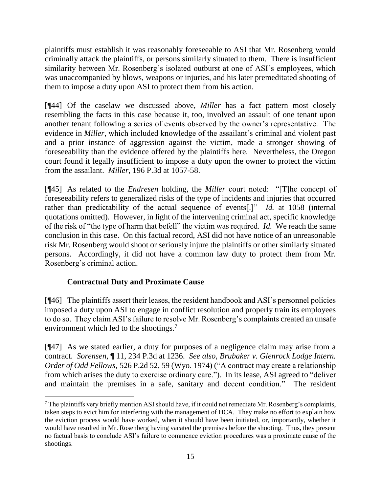plaintiffs must establish it was reasonably foreseeable to ASI that Mr. Rosenberg would criminally attack the plaintiffs, or persons similarly situated to them. There is insufficient similarity between Mr. Rosenberg's isolated outburst at one of ASI's employees, which was unaccompanied by blows, weapons or injuries, and his later premeditated shooting of them to impose a duty upon ASI to protect them from his action.

[¶44] Of the caselaw we discussed above, *Miller* has a fact pattern most closely resembling the facts in this case because it, too, involved an assault of one tenant upon another tenant following a series of events observed by the owner's representative. The evidence in *Miller*, which included knowledge of the assailant's criminal and violent past and a prior instance of aggression against the victim, made a stronger showing of foreseeability than the evidence offered by the plaintiffs here. Nevertheless, the Oregon court found it legally insufficient to impose a duty upon the owner to protect the victim from the assailant. *Miller,* 196 P.3d at 1057-58.

[¶45] As related to the *Endresen* holding, the *Miller* court noted: "[T]he concept of foreseeability refers to generalized risks of the type of incidents and injuries that occurred rather than predictability of the actual sequence of events[.]" *Id.* at 1058 (internal quotations omitted). However, in light of the intervening criminal act, specific knowledge of the risk of "the type of harm that befell" the victim was required. *Id.* We reach the same conclusion in this case. On this factual record, ASI did not have notice of an unreasonable risk Mr. Rosenberg would shoot or seriously injure the plaintiffs or other similarly situated persons. Accordingly, it did not have a common law duty to protect them from Mr. Rosenberg's criminal action.

# **Contractual Duty and Proximate Cause**

[¶46] The plaintiffs assert their leases, the resident handbook and ASI's personnel policies imposed a duty upon ASI to engage in conflict resolution and properly train its employees to do so. They claim ASI's failure to resolve Mr. Rosenberg's complaints created an unsafe environment which led to the shootings.<sup>7</sup>

[¶47] As we stated earlier, a duty for purposes of a negligence claim may arise from a contract. *Sorensen,* ¶ 11, 234 P.3d at 1236. *See also, [Brubaker v. Glenrock Lodge Intern.](https://1.next.westlaw.com/Link/Document/FullText?findType=Y&serNum=1974125487&pubNum=0000661&originatingDoc=Ie5604b2ef58c11d983e7e9deff98dc6f&refType=RP&fi=co_pp_sp_661_58&originationContext=document&transitionType=DocumentItem&contextData=(sc.DocLink)#co_pp_sp_661_58)  Order of Odd Fellows,* [526 P.2d 52, 59 \(Wyo. 1974\)](https://1.next.westlaw.com/Link/Document/FullText?findType=Y&serNum=1974125487&pubNum=0000661&originatingDoc=Ie5604b2ef58c11d983e7e9deff98dc6f&refType=RP&fi=co_pp_sp_661_58&originationContext=document&transitionType=DocumentItem&contextData=(sc.DocLink)#co_pp_sp_661_58) ("A contract may create a relationship from which arises the duty to exercise ordinary care."). In its lease, ASI agreed to "deliver and maintain the premises in a safe, sanitary and decent condition." The resident

 $\overline{a}$  $^7$  The plaintiffs very briefly mention ASI should have, if it could not remediate Mr. Rosenberg's complaints, taken steps to evict him for interfering with the management of HCA. They make no effort to explain how the eviction process would have worked, when it should have been initiated, or, importantly, whether it would have resulted in Mr. Rosenberg having vacated the premises before the shooting. Thus, they present no factual basis to conclude ASI's failure to commence eviction procedures was a proximate cause of the shootings.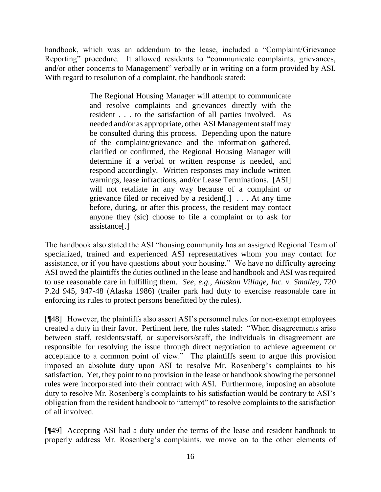handbook, which was an addendum to the lease, included a "Complaint/Grievance Reporting" procedure. It allowed residents to "communicate complaints, grievances, and/or other concerns to Management" verbally or in writing on a form provided by ASI. With regard to resolution of a complaint, the handbook stated:

> The Regional Housing Manager will attempt to communicate and resolve complaints and grievances directly with the resident . . . to the satisfaction of all parties involved. As needed and/or as appropriate, other ASI Management staff may be consulted during this process. Depending upon the nature of the complaint/grievance and the information gathered, clarified or confirmed, the Regional Housing Manager will determine if a verbal or written response is needed, and respond accordingly. Written responses may include written warnings, lease infractions, and/or Lease Terminations. [ASI] will not retaliate in any way because of a complaint or grievance filed or received by a resident[.] . . . At any time before, during, or after this process, the resident may contact anyone they (sic) choose to file a complaint or to ask for assistance[.]

The handbook also stated the ASI "housing community has an assigned Regional Team of specialized, trained and experienced ASI representatives whom you may contact for assistance, or if you have questions about your housing." We have no difficulty agreeing ASI owed the plaintiffs the duties outlined in the lease and handbook and ASI was required to use reasonable care in fulfilling them. *See, e.g.*, *Alaskan Village, Inc. v. Smalley,* 720 P.2d 945, 947-48 (Alaska 1986) (trailer park had duty to exercise reasonable care in enforcing its rules to protect persons benefitted by the rules).

[¶48] However, the plaintiffs also assert ASI's personnel rules for non-exempt employees created a duty in their favor. Pertinent here, the rules stated: "When disagreements arise between staff, residents/staff, or supervisors/staff, the individuals in disagreement are responsible for resolving the issue through direct negotiation to achieve agreement or acceptance to a common point of view." The plaintiffs seem to argue this provision imposed an absolute duty upon ASI to resolve Mr. Rosenberg's complaints to his satisfaction. Yet, they point to no provision in the lease or handbook showing the personnel rules were incorporated into their contract with ASI. Furthermore, imposing an absolute duty to resolve Mr. Rosenberg's complaints to his satisfaction would be contrary to ASI's obligation from the resident handbook to "attempt" to resolve complaints to the satisfaction of all involved.

[¶49] Accepting ASI had a duty under the terms of the lease and resident handbook to properly address Mr. Rosenberg's complaints, we move on to the other elements of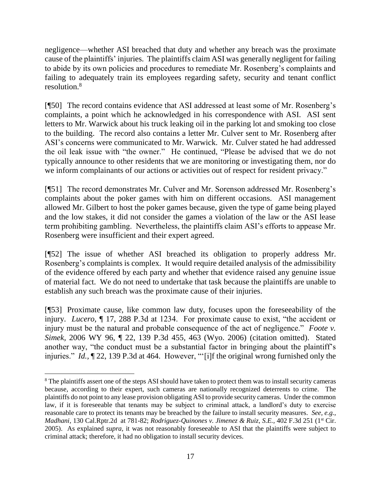negligence—whether ASI breached that duty and whether any breach was the proximate cause of the plaintiffs' injuries. The plaintiffs claim ASI was generally negligent for failing to abide by its own policies and procedures to remediate Mr. Rosenberg's complaints and failing to adequately train its employees regarding safety, security and tenant conflict resolution.<sup>8</sup>

[¶50] The record contains evidence that ASI addressed at least some of Mr. Rosenberg's complaints, a point which he acknowledged in his correspondence with ASI. ASI sent letters to Mr. Warwick about his truck leaking oil in the parking lot and smoking too close to the building. The record also contains a letter Mr. Culver sent to Mr. Rosenberg after ASI's concerns were communicated to Mr. Warwick. Mr. Culver stated he had addressed the oil leak issue with "the owner." He continued, "Please be advised that we do not typically announce to other residents that we are monitoring or investigating them, nor do we inform complainants of our actions or activities out of respect for resident privacy."

[¶51] The record demonstrates Mr. Culver and Mr. Sorenson addressed Mr. Rosenberg's complaints about the poker games with him on different occasions. ASI management allowed Mr. Gilbert to host the poker games because, given the type of game being played and the low stakes, it did not consider the games a violation of the law or the ASI lease term prohibiting gambling. Nevertheless, the plaintiffs claim ASI's efforts to appease Mr. Rosenberg were insufficient and their expert agreed.

[¶52] The issue of whether ASI breached its obligation to properly address Mr. Rosenberg's complaints is complex. It would require detailed analysis of the admissibility of the evidence offered by each party and whether that evidence raised any genuine issue of material fact. We do not need to undertake that task because the plaintiffs are unable to establish any such breach was the proximate cause of their injuries.

[¶53] Proximate cause, like common law duty, focuses upon the foreseeability of the injury. *Lucero,* ¶ 17, 288 P.3d at 1234. For proximate cause to exist, "the accident or injury must be the natural and probable consequence of the act of negligence." *[Foote v.](http://www.westlaw.com/Link/Document/FullText?findType=Y&serNum=2009674183&pubNum=0004645&originatingDoc=Id9af682f3b2b11e28a21ccb9036b2470&refType=RP&fi=co_pp_sp_4645_463&originationContext=document&vr=3.0&rs=cblt1.0&transitionType=DocumentItem&contextData=(sc.UserEnteredCitation)#co_pp_sp_4645_463)  Simek,* [2006 WY 96, ¶ 22, 139 P.3d 455, 463 \(Wyo. 2006\)](http://www.westlaw.com/Link/Document/FullText?findType=Y&serNum=2009674183&pubNum=0004645&originatingDoc=Id9af682f3b2b11e28a21ccb9036b2470&refType=RP&fi=co_pp_sp_4645_463&originationContext=document&vr=3.0&rs=cblt1.0&transitionType=DocumentItem&contextData=(sc.UserEnteredCitation)#co_pp_sp_4645_463) (citation omitted). Stated another way, "the conduct must be a substantial factor in bringing about the plaintiff's injuries." *Id.,* [¶ 22, 139 P.3d at 464.](http://www.westlaw.com/Link/Document/FullText?findType=Y&serNum=2009674183&pubNum=4645&originatingDoc=Id9af682f3b2b11e28a21ccb9036b2470&refType=RP&fi=co_pp_sp_4645_464&originationContext=document&vr=3.0&rs=cblt1.0&transitionType=DocumentItem&contextData=(sc.UserEnteredCitation)#co_pp_sp_4645_464) However, "'[i]f the original wrong furnished only the

l

<sup>&</sup>lt;sup>8</sup> The plaintiffs assert one of the steps ASI should have taken to protect them was to install security cameras because, according to their expert, such cameras are nationally recognized deterrents to crime. The plaintiffs do not point to any lease provision obligating ASI to provide security cameras. Under the common law, if it is foreseeable that tenants may be subject to criminal attack, a landlord's duty to exercise reasonable care to protect its tenants may be breached by the failure to install security measures. *See, e.g.*, *Madhani,* 130 Cal.Rptr.2d at 781-82; *Rodriguez-Quinones v. Jimenez & Ruiz, S.E.,* 402 F.3d 251 (1st Cir. 2005). As explained *supra,* it was not reasonably foreseeable to ASI that the plaintiffs were subject to criminal attack; therefore, it had no obligation to install security devices.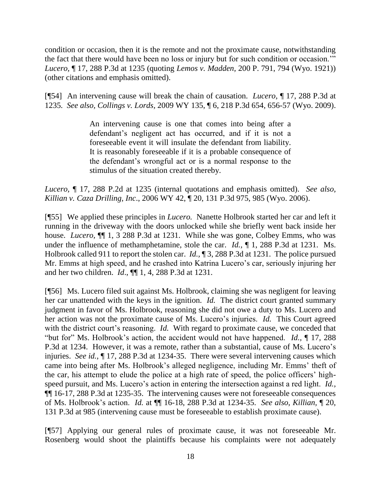condition or occasion, then it is the remote and not the proximate cause, notwithstanding the fact that there would have been no loss or injury but for such condition or occasion.'" *Lucero,* ¶ 17, 288 P.3d at 1235 (quoting *Lemos v. Madden,* 200 P. 791, 794 (Wyo. 1921)) (other citations and emphasis omitted).

[¶54] An intervening cause will break the chain of causation. *Lucero,* ¶ 17, 288 P.3d at 1235*. See also, Collings v. Lords,* [2009 WY 135, ¶ 6, 218 P.3d 654, 656-57 \(Wyo. 2009\).](http://www.westlaw.com/Link/Document/FullText?findType=Y&serNum=2020324219&pubNum=0004645&originatingDoc=Id9af682f3b2b11e28a21ccb9036b2470&refType=RP&fi=co_pp_sp_4645_656&originationContext=document&vr=3.0&rs=cblt1.0&transitionType=DocumentItem&contextData=(sc.UserEnteredCitation)#co_pp_sp_4645_656)

> An intervening cause is one that comes into being after a defendant's negligent act has occurred, and if it is not a foreseeable event it will insulate the defendant from liability. It is reasonably foreseeable if it is a probable consequence of the defendant's wrongful act or is a normal response to the stimulus of the situation created thereby.

*Lucero,* ¶ 17, 288 P.2d at 1235 (internal quotations and emphasis omitted). *See also, Killian v. Caza Drilling, Inc*., [2006 WY 42, ¶ 20, 131 P.3d 975, 985 \(Wyo. 2006\).](http://www.westlaw.com/Link/Document/FullText?findType=Y&serNum=2008872417&pubNum=0004645&originatingDoc=Id9af682f3b2b11e28a21ccb9036b2470&refType=RP&fi=co_pp_sp_4645_985&originationContext=document&vr=3.0&rs=cblt1.0&transitionType=DocumentItem&contextData=(sc.UserEnteredCitation)#co_pp_sp_4645_985)

[¶55] We applied these principles in *Lucero.* Nanette Holbrook started her car and left it running in the driveway with the doors unlocked while she briefly went back inside her house. *Lucero,* ¶¶ 1, 3 288 P.3d at 1231. While she was gone, Colbey Emms, who was under the influence of methamphetamine, stole the car. *Id.*,  $\parallel$  1, 288 P.3d at 1231. Ms. Holbrook called 911 to report the stolen car. *Id.,* ¶ 3, 288 P.3d at 1231. The police pursued Mr. Emms at high speed, and he crashed into Katrina Lucero's car, seriously injuring her and her two children. *Id*., ¶¶ 1, 4, 288 P.3d at 1231.

[¶56] Ms. Lucero filed suit against Ms. Holbrook, claiming she was negligent for leaving her car unattended with the keys in the ignition. *Id.* The district court granted summary judgment in favor of Ms. Holbrook, reasoning she did not owe a duty to Ms. Lucero and her action was not the proximate cause of Ms. Lucero's injuries. *Id.* This Court agreed with the district court's reasoning. *Id.* With regard to proximate cause, we conceded that "but for" Ms. Holbrook's action, the accident would not have happened. *Id.,* ¶ 17, 288 P.3d at 1234. However, it was a remote, rather than a substantial, cause of Ms. Lucero's injuries. *See id.,* ¶ 17, 288 P.3d at 1234-35.There were several intervening causes which came into being after Ms. Holbrook's alleged negligence, including Mr. Emms' theft of the car, his attempt to elude the police at a high rate of speed, the police officers' highspeed pursuit, and Ms. Lucero's action in entering the intersection against a red light. *Id.,*  ¶¶ 16-17, 288 P.3d at 1235-35. The intervening causes were not foreseeable consequences of Ms. Holbrook's action. *Id.* at ¶¶ 16-18, 288 P.3d at 1234-35. *See also*, *Killian,* ¶ 20, 131 P.3d at 985 (intervening cause must be foreseeable to establish proximate cause).

[¶57] Applying our general rules of proximate cause, it was not foreseeable Mr. Rosenberg would shoot the plaintiffs because his complaints were not adequately